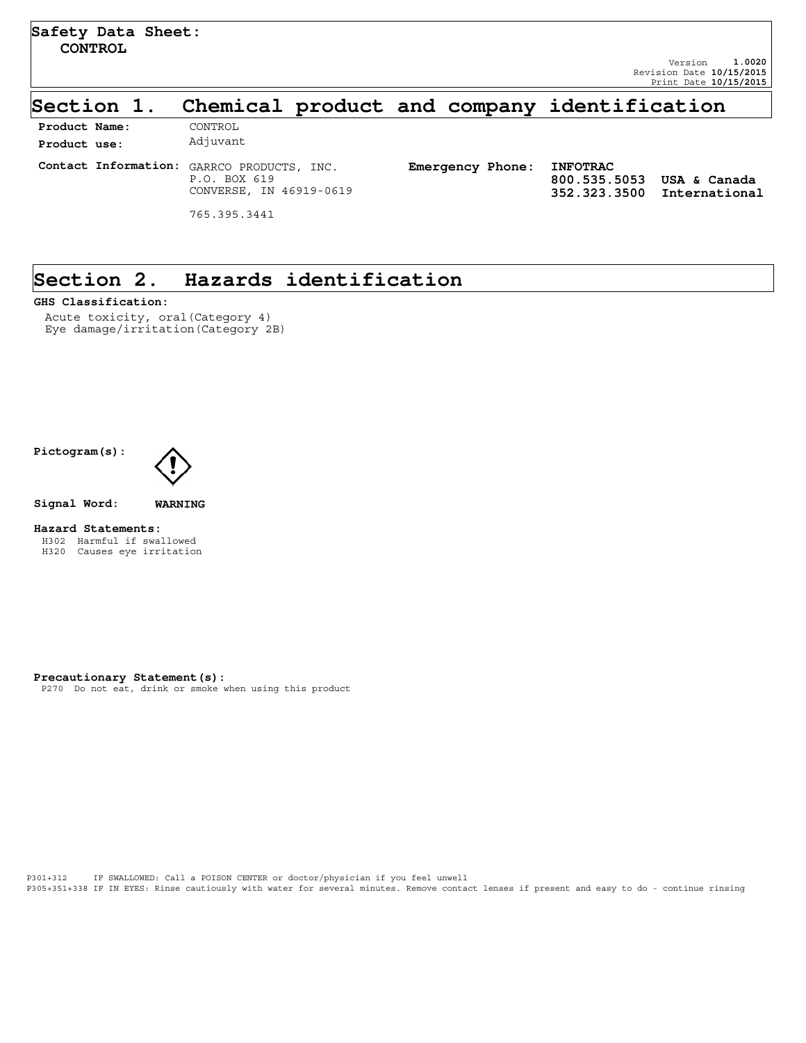### **Section 1. Chemical product and company identification**

| Product Name: | CONTROL                                                                               |                         |                                                 |                               |
|---------------|---------------------------------------------------------------------------------------|-------------------------|-------------------------------------------------|-------------------------------|
| Product use:  | Adjuvant                                                                              |                         |                                                 |                               |
|               | Contact Information: GARRCO PRODUCTS, INC.<br>P.O. BOX 619<br>CONVERSE, IN 46919-0619 | <b>Emergency Phone:</b> | <b>INFOTRAC</b><br>800.535.5053<br>352.323.3500 | USA & Canada<br>International |
|               | 765.395.3441                                                                          |                         |                                                 |                               |

### **Section 2. Hazards identification**

#### **GHS Classification:**

Acute toxicity, oral(Category 4) Eye damage/irritation(Category 2B)

**Pictogram(s):**



**Signal Word: WARNING**

#### **Hazard Statements:**

H302 Harmful if swallowed H320 Causes eye irritation

**Precautionary Statement(s):**

P270 Do not eat, drink or smoke when using this product

P301+312 IF SWALLOWED: Call a POISON CENTER or doctor/physician if you feel unwell P305+351+338 IF IN EYES: Rinse cautiously with water for several minutes. Remove contact lenses if present and easy to do - continue rinsing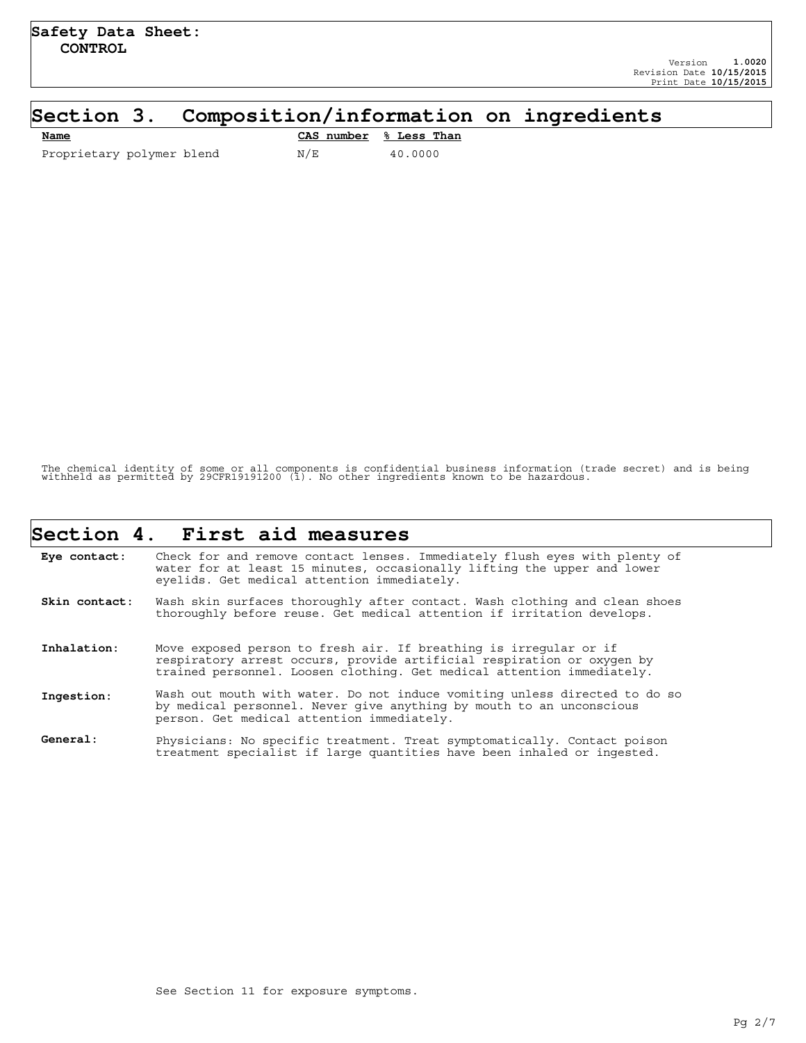### **Section 3. Composition/information on ingredients**

| Name                      |     | CAS number % Less Than |
|---------------------------|-----|------------------------|
| Proprietary polymer blend | N/E | 40.0000                |

The chemical identity of some or all components is confidential business information (trade secret) and is being withheld as permitted by 29CFR19191200 (i). No other ingredients known to be hazardous.

|               | Section 4. First aid measures                                                                                                                                                                                         |
|---------------|-----------------------------------------------------------------------------------------------------------------------------------------------------------------------------------------------------------------------|
| Eye contact:  | Check for and remove contact lenses. Immediately flush eyes with plenty of<br>water for at least 15 minutes, occasionally lifting the upper and lower<br>eyelids. Get medical attention immediately.                  |
| Skin contact: | Wash skin surfaces thoroughly after contact. Wash clothing and clean shoes<br>thoroughly before reuse. Get medical attention if irritation develops.                                                                  |
| Inhalation:   | Move exposed person to fresh air. If breathing is irregular or if<br>respiratory arrest occurs, provide artificial respiration or oxygen by<br>trained personnel. Loosen clothing. Get medical attention immediately. |
| Ingestion:    | Wash out mouth with water. Do not induce vomiting unless directed to do so<br>by medical personnel. Never give anything by mouth to an unconscious<br>person. Get medical attention immediately.                      |
| General:      | Physicians: No specific treatment. Treat symptomatically. Contact poison<br>treatment specialist if large quantities have been inhaled or ingested.                                                                   |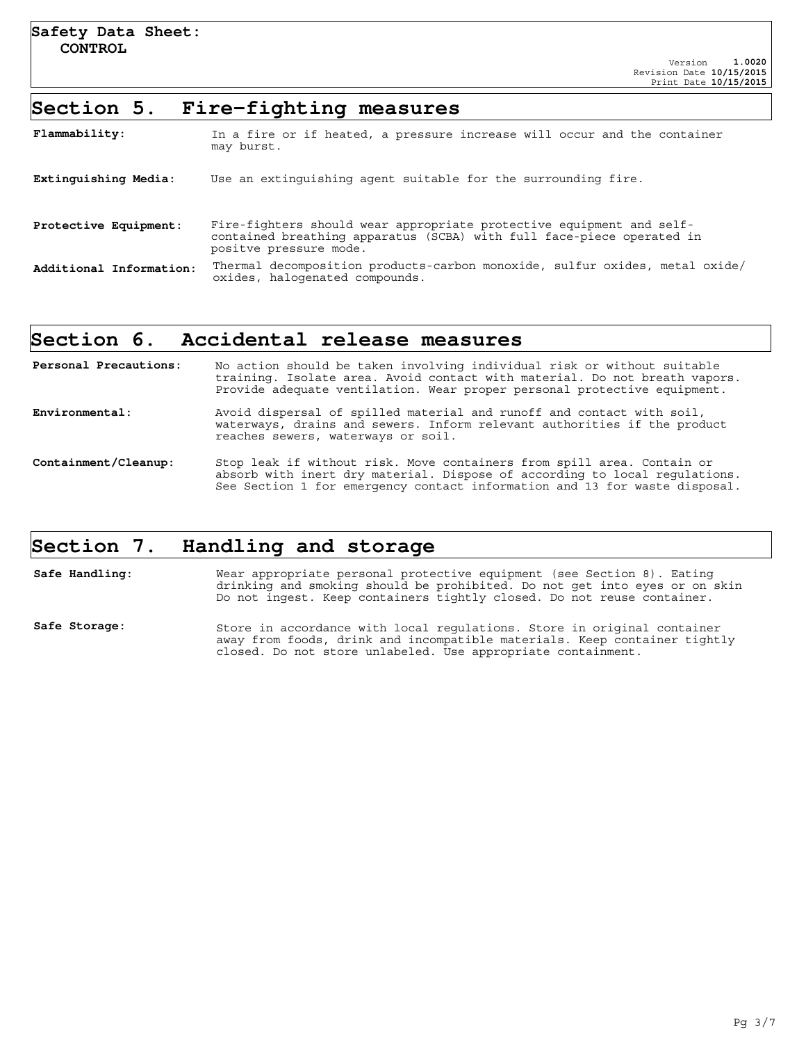### **Section 5. Fire-fighting measures**

| Flammability:           | In a fire or if heated, a pressure increase will occur and the container<br>may burst.                                                                                  |
|-------------------------|-------------------------------------------------------------------------------------------------------------------------------------------------------------------------|
| Extinguishing Media:    | Use an extinguishing agent suitable for the surrounding fire.                                                                                                           |
| Protective Equipment:   | Fire-fighters should wear appropriate protective equipment and self-<br>contained breathing apparatus (SCBA) with full face-piece operated in<br>positve pressure mode. |
| Additional Information: | Thermal decomposition products-carbon monoxide, sulfur oxides, metal oxide/<br>oxides, halogenated compounds.                                                           |

### **Section 6. Accidental release measures**

| Personal Precautions: | No action should be taken involving individual risk or without suitable<br>training. Isolate area. Avoid contact with material. Do not breath vapors.<br>Provide adequate ventilation. Wear proper personal protective equipment.  |
|-----------------------|------------------------------------------------------------------------------------------------------------------------------------------------------------------------------------------------------------------------------------|
| Environmental:        | Avoid dispersal of spilled material and runoff and contact with soil,<br>waterways, drains and sewers. Inform relevant authorities if the product<br>reaches sewers, waterways or soil.                                            |
| Containment/Cleanup:  | Stop leak if without risk. Move containers from spill area. Contain or<br>absorb with inert dry material. Dispose of according to local regulations.<br>See Section 1 for emergency contact information and 13 for waste disposal. |

### **Section 7. Handling and storage**

**Safe Handling:** Wear appropriate personal protective equipment (see Section 8). Eating drinking and smoking should be prohibited. Do not get into eyes or on skin Do not ingest. Keep containers tightly closed. Do not reuse container. Safe Storage: Store in accordance with local regulations. Store in original container away from foods, drink and incompatible materials. Keep container tightly closed. Do not store unlabeled. Use appropriate containment.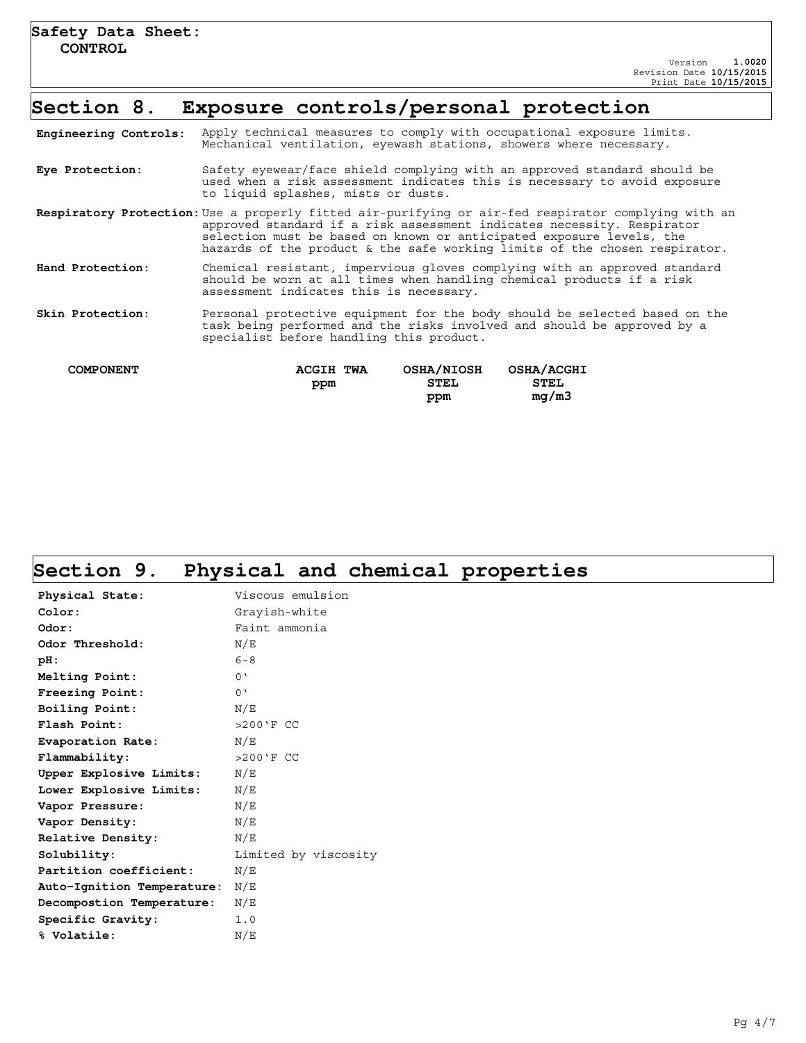### **Section 8. Exposure controls/personal protection**

| Engineering Controls: | Apply technical measures to comply with occupational exposure limits.<br>Mechanical ventilation, eyewash stations, showers where necessary.                                                                                                                                                                                         |
|-----------------------|-------------------------------------------------------------------------------------------------------------------------------------------------------------------------------------------------------------------------------------------------------------------------------------------------------------------------------------|
| Eye Protection:       | Safety eyewear/face shield complying with an approved standard should be<br>used when a risk assessment indicates this is necessary to avoid exposure<br>to liquid splashes, mists or dusts.                                                                                                                                        |
|                       | Respiratory Protection: Use a properly fitted air-purifying or air-fed respirator complying with an<br>approved standard if a risk assessment indicates necessity. Respirator<br>selection must be based on known or anticipated exposure levels, the<br>hazards of the product & the safe working limits of the chosen respirator. |
| Hand Protection:      | Chemical resistant, impervious gloves complying with an approved standard<br>should be worn at all times when handling chemical products if a risk<br>assessment indicates this is necessary.                                                                                                                                       |
| Skin Protection:      | Personal protective equipment for the body should be selected based on the<br>task being performed and the risks involved and should be approved by a<br>specialist before handling this product.                                                                                                                                   |
| <b>COMPONENT</b>      | <b>OSHA/NIOSH</b><br>OSHA/ACGHI<br><b>ACGIH TWA</b><br><b>STEL</b><br><b>STEL</b><br>ppm<br>mq/m3<br>ppm                                                                                                                                                                                                                            |

## **Section 9. Physical and chemical properties**

| Physical State:            | Viscous emulsion     |
|----------------------------|----------------------|
| Color:                     | Grayish-white        |
| Odor:                      | Faint ammonia        |
| Odor Threshold:            | N/E                  |
| $pH$ :                     | $6 - 8$              |
| Melting Point:             | 0'                   |
| Freezing Point:            | 0'                   |
| Boiling Point:             | N/E                  |
| Flash Point:               | $>200'$ FCC          |
| Evaporation Rate:          | N/E                  |
| Flammability:              | $>200'$ FCC          |
| Upper Explosive Limits:    | N/E                  |
| Lower Explosive Limits:    | N/E                  |
| Vapor Pressure:            | N/E                  |
| Vapor Density:             | N/E                  |
| Relative Density:          | N/E                  |
| Solubility:                | Limited by viscosity |
| Partition coefficient:     | N/E                  |
| Auto-Ignition Temperature: | N/E                  |
| Decompostion Temperature:  | N/E                  |
| Specific Gravity:          | 1.0                  |
| % Volatile:                | N/E                  |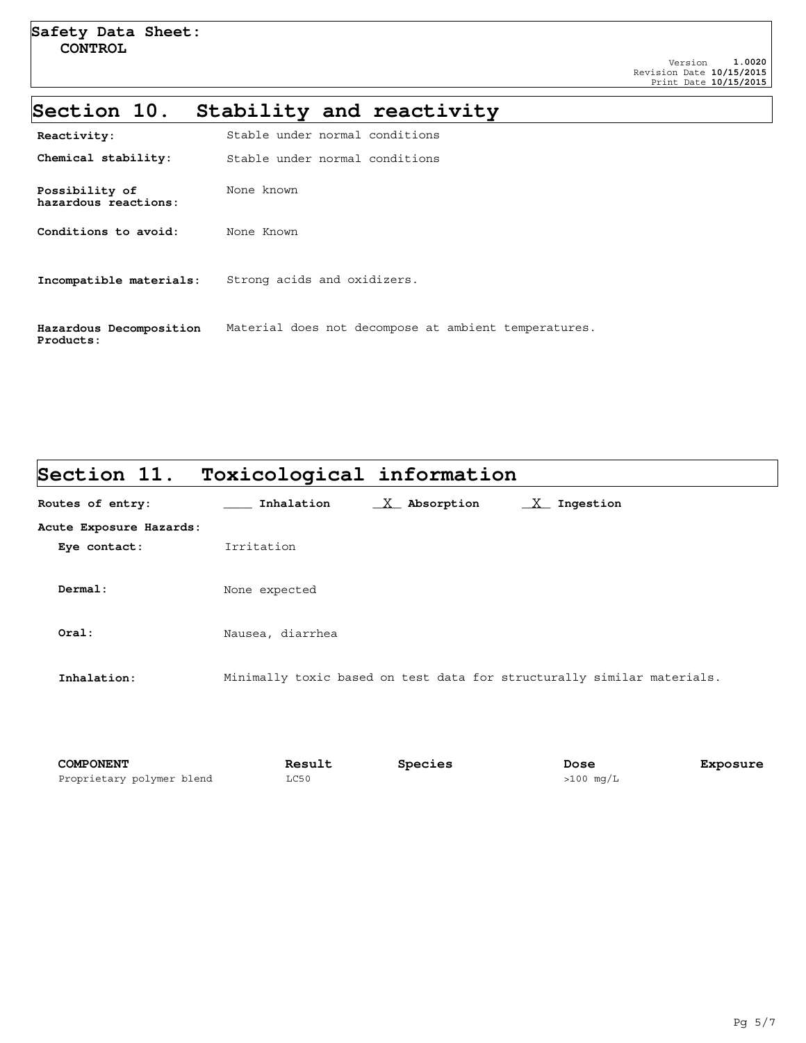## **Section 10. Stability and reactivity**

| Reactivity:                            | Stable under normal conditions                       |
|----------------------------------------|------------------------------------------------------|
| Chemical stability:                    | Stable under normal conditions                       |
| Possibility of<br>hazardous reactions: | None known                                           |
| Conditions to avoid:                   | None Known                                           |
| Incompatible materials:                | Strong acids and oxidizers.                          |
| Hazardous Decomposition<br>Products:   | Material does not decompose at ambient temperatures. |

# **Section 11. Toxicological information** Routes of entry: **\_\_\_\_\_** Inhalation  $\frac{X}{X}$  Absorption  $\frac{X}{X}$  Ingestion **Acute Exposure Hazards: Eye contact:** Irritation **Dermal:** None expected **Oral:** Nausea, diarrhea **Inhalation:** Minimally toxic based on test data for structurally similar materials.

| COMPONENT                 | <b>Result</b> | Species | Dose        | Exposure |
|---------------------------|---------------|---------|-------------|----------|
| Proprietary polymer blend | LC50          |         | $>100$ mg/L |          |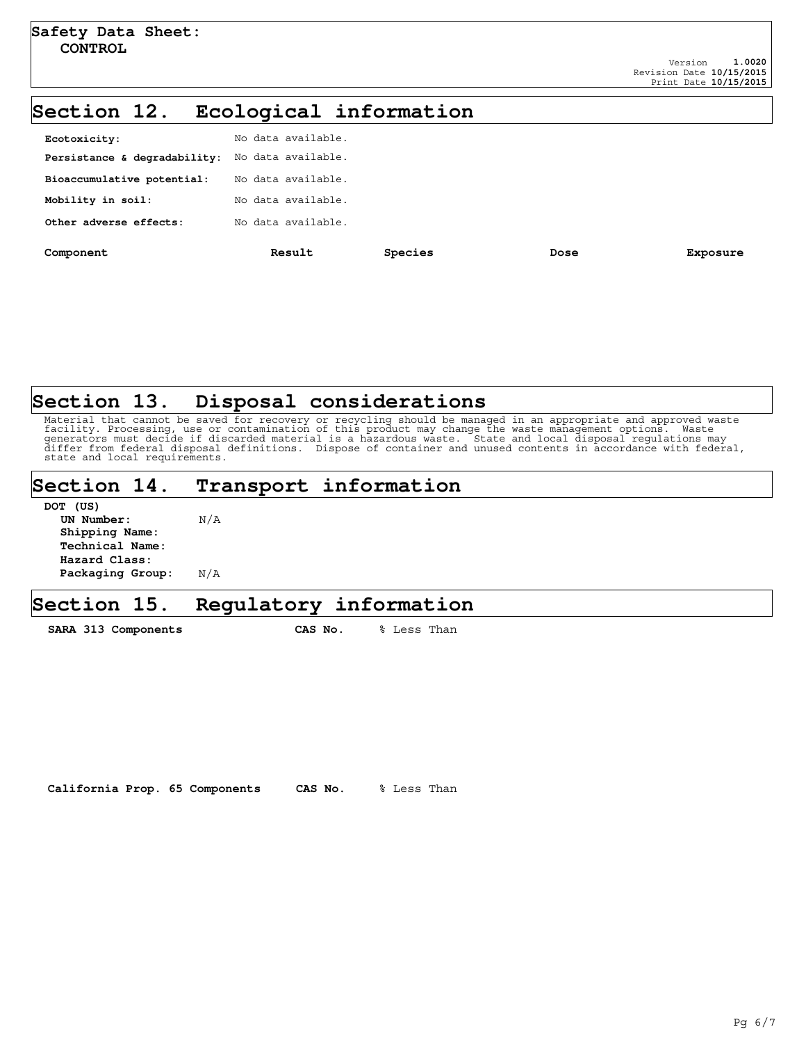### **Section 12. Ecological information**

| Component                    | Result             | Species | Dose | Exposure |
|------------------------------|--------------------|---------|------|----------|
| Other adverse effects:       | No data available. |         |      |          |
| Mobility in soil:            | No data available. |         |      |          |
| Bioaccumulative potential:   | No data available. |         |      |          |
| Persistance & degradability: | No data available. |         |      |          |
| Ecotoxicity:                 | No data available. |         |      |          |
|                              |                    |         |      |          |

### **Section 13. Disposal considerations**

Material that cannot be saved for recovery or recycling should be managed in an appropriate and approved waste<br>facility. Processing, use or contamination of this product may change the waste management options. Waste<br>gener state and local requirements.

### **Section 14. Transport information**

| DOT (US)         |     |
|------------------|-----|
| UN Number:       | N/A |
| Shipping Name:   |     |
| Technical Name:  |     |
| Hazard Class:    |     |
| Packaging Group: | N/A |

### **Section 15. Regulatory information**

SARA 313 Components CAS No. % Less Than

**California Prop. 65 Components CAS No.** % Less Than